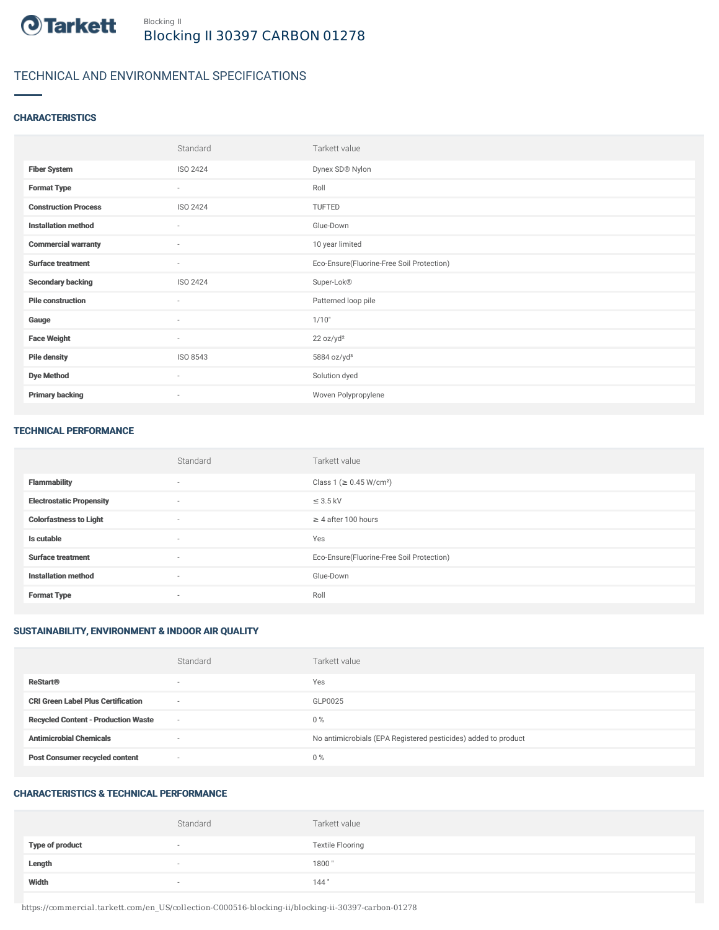

# TECHNICAL AND ENVIRONMENTAL SPECIFICATIONS

# **CHARACTERISTICS**

|                             | Standard                 | Tarkett value                             |
|-----------------------------|--------------------------|-------------------------------------------|
| <b>Fiber System</b>         | ISO 2424                 | Dynex SD® Nylon                           |
| <b>Format Type</b>          | $\sim$                   | Roll                                      |
| <b>Construction Process</b> | ISO 2424                 | TUFTED                                    |
| <b>Installation method</b>  | ٠                        | Glue-Down                                 |
| <b>Commercial warranty</b>  | $\sim$                   | 10 year limited                           |
| <b>Surface treatment</b>    | $\sim$                   | Eco-Ensure(Fluorine-Free Soil Protection) |
| <b>Secondary backing</b>    | ISO 2424                 | Super-Lok®                                |
| <b>Pile construction</b>    | ٠                        | Patterned loop pile                       |
| Gauge                       | ٠                        | 1/10"                                     |
| <b>Face Weight</b>          | $\overline{\phantom{a}}$ | 22 oz/yd <sup>2</sup>                     |
| <b>Pile density</b>         | ISO 8543                 | 5884 oz/yd <sup>3</sup>                   |
| <b>Dye Method</b>           | $\overline{\phantom{a}}$ | Solution dyed                             |
| <b>Primary backing</b>      | ٠                        | Woven Polypropylene                       |

#### TECHNICAL PERFORMANCE

|                                 | Standard                 | Tarkett value                             |
|---------------------------------|--------------------------|-------------------------------------------|
| <b>Flammability</b>             | $\overline{\phantom{a}}$ | Class 1 (≥ 0.45 W/cm <sup>2</sup> )       |
| <b>Electrostatic Propensity</b> | $\sim$                   | $\leq$ 3.5 kV                             |
| <b>Colorfastness to Light</b>   | $\sim$                   | $\geq$ 4 after 100 hours                  |
| Is cutable                      | $\overline{\phantom{a}}$ | Yes                                       |
| <b>Surface treatment</b>        | $\sim$                   | Eco-Ensure(Fluorine-Free Soil Protection) |
| <b>Installation method</b>      | $\sim$                   | Glue-Down                                 |
| <b>Format Type</b>              | $\overline{\phantom{a}}$ | Roll                                      |

# SUSTAINABILITY, ENVIRONMENT & INDOOR AIR QUALITY

|                                            | Standard                 | Tarkett value                                                  |
|--------------------------------------------|--------------------------|----------------------------------------------------------------|
| <b>ReStart®</b>                            | $\overline{\phantom{a}}$ | Yes                                                            |
| <b>CRI Green Label Plus Certification</b>  | $\overline{\phantom{a}}$ | GLP0025                                                        |
| <b>Recycled Content - Production Waste</b> | $\sim$                   | $0\%$                                                          |
| <b>Antimicrobial Chemicals</b>             | $\overline{\phantom{a}}$ | No antimicrobials (EPA Registered pesticides) added to product |
| <b>Post Consumer recycled content</b>      | $\overline{\phantom{a}}$ | $0\%$                                                          |

# CHARACTERISTICS & TECHNICAL PERFORMANCE

|                        | Standard                 | Tarkett value           |
|------------------------|--------------------------|-------------------------|
| <b>Type of product</b> | $\overline{\phantom{a}}$ | <b>Textile Flooring</b> |
| Length                 |                          | 1800"                   |
| Width                  |                          | 144"                    |

https://commercial.tarkett.com/en\_US/collection-C000516-blocking-ii/blocking-ii-30397-carbon-01278